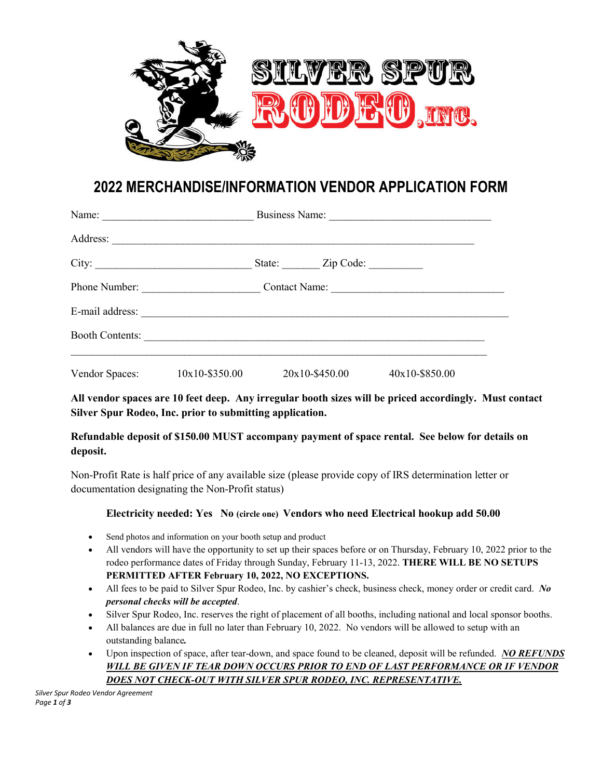

## **2022 MERCHANDISE/INFORMATION VENDOR APPLICATION FORM**

|                        | Business Name:<br>Name: $\qquad \qquad$ |  |                         |                |  |
|------------------------|-----------------------------------------|--|-------------------------|----------------|--|
|                        |                                         |  |                         |                |  |
|                        |                                         |  | State: <u>Zip Code:</u> |                |  |
|                        | Phone Number:                           |  |                         | Contact Name:  |  |
|                        | E-mail address:                         |  |                         |                |  |
| <b>Booth Contents:</b> |                                         |  |                         |                |  |
| Vendor Spaces:         | $10x10 - $350.00$                       |  | 20x10-\$450.00          | 40x10-\$850.00 |  |

**All vendor spaces are 10 feet deep. Any irregular booth sizes will be priced accordingly. Must contact Silver Spur Rodeo, Inc. prior to submitting application.**

## **Refundable deposit of \$150.00 MUST accompany payment of space rental. See below for details on deposit.**

Non-Profit Rate is half price of any available size (please provide copy of IRS determination letter or documentation designating the Non-Profit status)

## **Electricity needed: Yes No (circle one) Vendors who need Electrical hookup add 50.00**

- Send photos and information on your booth setup and product
- All vendors will have the opportunity to set up their spaces before or on Thursday, February 10, 2022 prior to the rodeo performance dates of Friday through Sunday, February 11-13, 2022. **THERE WILL BE NO SETUPS PERMITTED AFTER February 10, 2022, NO EXCEPTIONS.**
- All fees to be paid to Silver Spur Rodeo, Inc. by cashier's check, business check, money order or credit card. *No personal checks will be accepted*.
- Silver Spur Rodeo, Inc. reserves the right of placement of all booths, including national and local sponsor booths.
- All balances are due in full no later than February 10, 2022. No vendors will be allowed to setup with an outstanding balance*.*
- Upon inspection of space, after tear-down, and space found to be cleaned, deposit will be refunded. *NO REFUNDS WILL BE GIVEN IF TEAR DOWN OCCURS PRIOR TO END OF LAST PERFORMANCE OR IF VENDOR DOES NOT CHECK-OUT WITH SILVER SPUR RODEO, INC. REPRESENTATIVE.*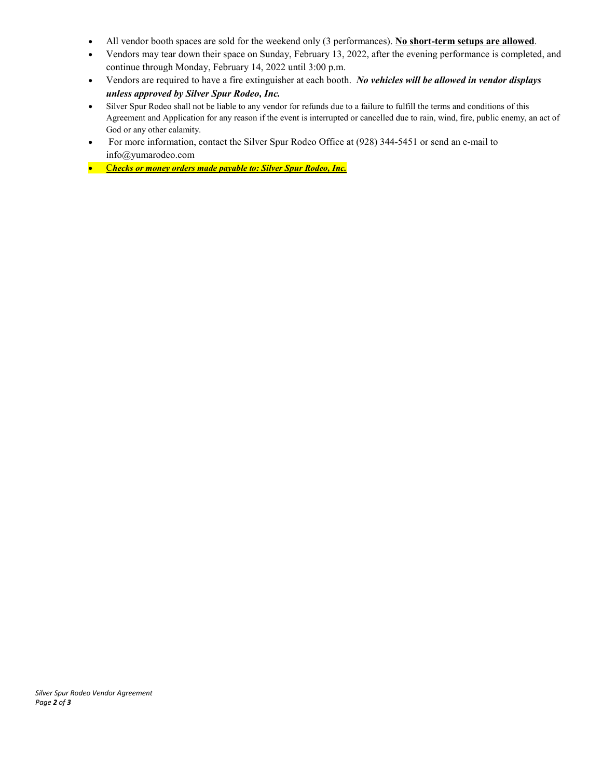- All vendor booth spaces are sold for the weekend only (3 performances). **No short-term setups are allowed**.
- Vendors may tear down their space on Sunday, February 13, 2022, after the evening performance is completed, and continue through Monday, February 14, 2022 until 3:00 p.m.
- Vendors are required to have a fire extinguisher at each booth. *No vehicles will be allowed in vendor displays unless approved by Silver Spur Rodeo, Inc.*
- Silver Spur Rodeo shall not be liable to any vendor for refunds due to a failure to fulfill the terms and conditions of this Agreement and Application for any reason if the event is interrupted or cancelled due to rain, wind, fire, public enemy, an act of God or any other calamity.
- For more information, contact the Silver Spur Rodeo Office at (928) 344-5451 or send an e-mail to info@yumarodeo.com
- C*hecks or money orders made payable to: Silver Spur Rodeo, Inc.*